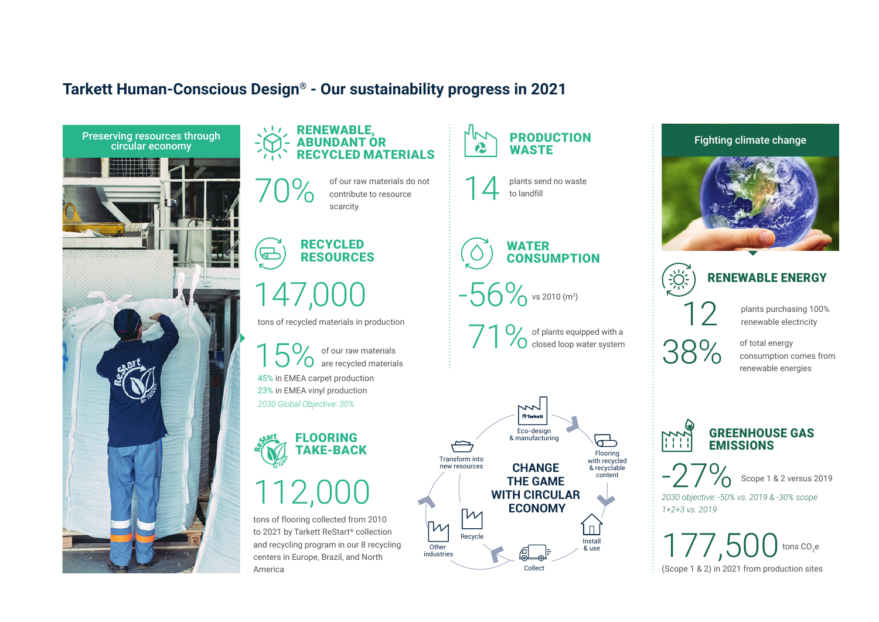#### **Tarkett Human-Conscious Design® - Our sustainability progress in 2021**



#### **RENEWABLE** ABUNDANT OR RECYCLED MATERIALS Preserving resources through  $\geq$   $\geq$   $\geq$   $\geq$   $\geq$   $\geq$   $\geq$   $\geq$   $\geq$   $\geq$   $\geq$   $\geq$   $\geq$   $\geq$   $\geq$   $\geq$   $\geq$   $\geq$   $\geq$   $\geq$   $\geq$   $\geq$   $\geq$   $\geq$   $\geq$   $\geq$   $\geq$   $\geq$   $\geq$   $\geq$   $\geq$   $\geq$

of our raw materials do not contribute to resource scarcity

**RECYCLED**  $\overline{\mathbb{G}}$ RESOURCES

## 147,000

tons of recycled materials in production

15% of our raw materials  $\overline{O}$  are recycled materials 45% in EMEA carpet production 23% in EMEA vinyl production *2030 Global Objective: 30%*

FLOORING TAKE-BACK

# 112,0

tons of flooring collected from 2010 to 2021 by Tarkett ReStart® collection and recycling program in our 8 recycling centers in Europe, Brazil, and North America



WATER **CONSUMPTION** 

-56% vs 2010 (m<sup>3</sup>)

71 % of plants equipped with a<br>Consed loop water system closed loop water system





### RENEWABLE ENERGY

12

38%

plants purchasing 100% renewable electricity

of total energy consumption comes from renewable energies



-27% Scope 1 & 2 versus 2019

*2030 objective: -50% vs. 2019 & -30% scope 1+2+3 vs. 2019*

177,500 tons CO<sub>2</sub> e (Scope 1 & 2) in 2021 from production sites